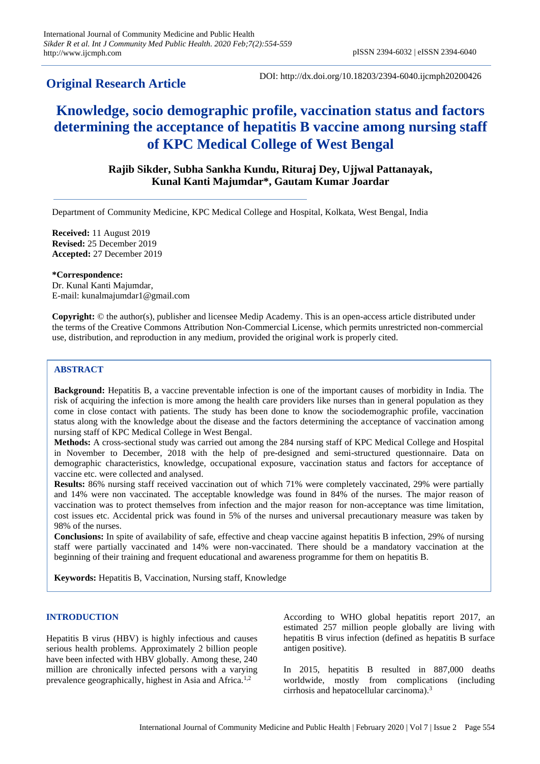## **Original Research Article**

DOI: http://dx.doi.org/10.18203/2394-6040.ijcmph20200426

# **Knowledge, socio demographic profile, vaccination status and factors determining the acceptance of hepatitis B vaccine among nursing staff of KPC Medical College of West Bengal**

## **Rajib Sikder, Subha Sankha Kundu, Rituraj Dey, Ujjwal Pattanayak, Kunal Kanti Majumdar\*, Gautam Kumar Joardar**

Department of Community Medicine, KPC Medical College and Hospital, Kolkata, West Bengal, India

**Received:** 11 August 2019 **Revised:** 25 December 2019 **Accepted:** 27 December 2019

**\*Correspondence:** Dr. Kunal Kanti Majumdar, E-mail: kunalmajumdar1@gmail.com

**Copyright:** © the author(s), publisher and licensee Medip Academy. This is an open-access article distributed under the terms of the Creative Commons Attribution Non-Commercial License, which permits unrestricted non-commercial use, distribution, and reproduction in any medium, provided the original work is properly cited.

## **ABSTRACT**

**Background:** Hepatitis B, a vaccine preventable infection is one of the important causes of morbidity in India. The risk of acquiring the infection is more among the health care providers like nurses than in general population as they come in close contact with patients. The study has been done to know the sociodemographic profile, vaccination status along with the knowledge about the disease and the factors determining the acceptance of vaccination among nursing staff of KPC Medical College in West Bengal.

**Methods:** A cross-sectional study was carried out among the 284 nursing staff of KPC Medical College and Hospital in November to December, 2018 with the help of pre-designed and semi-structured questionnaire. Data on demographic characteristics, knowledge, occupational exposure, vaccination status and factors for acceptance of vaccine etc. were collected and analysed.

**Results:** 86% nursing staff received vaccination out of which 71% were completely vaccinated, 29% were partially and 14% were non vaccinated. The acceptable knowledge was found in 84% of the nurses. The major reason of vaccination was to protect themselves from infection and the major reason for non-acceptance was time limitation, cost issues etc. Accidental prick was found in 5% of the nurses and universal precautionary measure was taken by 98% of the nurses.

**Conclusions:** In spite of availability of safe, effective and cheap vaccine against hepatitis B infection, 29% of nursing staff were partially vaccinated and 14% were non-vaccinated. There should be a mandatory vaccination at the beginning of their training and frequent educational and awareness programme for them on hepatitis B.

**Keywords:** Hepatitis B, Vaccination, Nursing staff, Knowledge

## **INTRODUCTION**

Hepatitis B virus (HBV) is highly infectious and causes serious health problems. Approximately 2 billion people have been infected with HBV globally. Among these, 240 million are chronically infected persons with a varying prevalence geographically, highest in Asia and Africa.<sup>1,2</sup>

According to WHO global hepatitis report 2017, an estimated 257 million people globally are living with hepatitis B virus infection (defined as hepatitis B surface antigen positive).

In 2015, hepatitis B resulted in 887,000 deaths worldwide, mostly from complications (including cirrhosis and hepatocellular carcinoma).<sup>3</sup>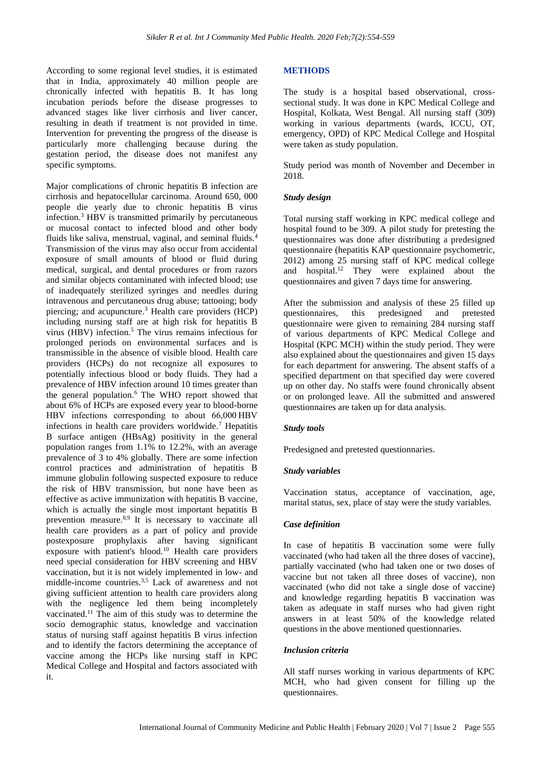According to some regional level studies, it is estimated that in India, approximately 40 million people are chronically infected with hepatitis B. It has long incubation periods before the disease progresses to advanced stages like liver cirrhosis and liver cancer, resulting in death if treatment is not provided in time. Intervention for preventing the progress of the disease is particularly more challenging because during the gestation period, the disease does not manifest any specific symptoms.

Major complications of chronic hepatitis B infection are cirrhosis and hepatocellular carcinoma. Around 650, 000 people die yearly due to chronic hepatitis B virus infection.<sup>3</sup> HBV is transmitted primarily by percutaneous or mucosal contact to infected blood and other body fluids like saliva, menstrual, vaginal, and seminal fluids.<sup>4</sup> Transmission of the virus may also occur from accidental exposure of small amounts of blood or fluid during medical, surgical, and dental procedures or from razors and similar objects contaminated with infected blood; use of inadequately sterilized syringes and needles during intravenous and percutaneous drug abuse; tattooing; body piercing; and acupuncture.<sup>3</sup> Health care providers (HCP) including nursing staff are at high risk for hepatitis B virus (HBV) infection.<sup>5</sup> The virus remains infectious for prolonged periods on environmental surfaces and is transmissible in the absence of visible blood. Health care providers (HCPs) do not recognize all exposures to potentially infectious blood or body fluids. They had a prevalence of HBV infection around 10 times greater than the general population.<sup>6</sup> The WHO report showed that about 6% of HCPs are exposed every year to blood-borne HBV infections corresponding to about 66,000 HBV infections in health care providers worldwide.<sup>7</sup> Hepatitis B surface antigen (HBsAg) positivity in the general population ranges from 1.1% to 12.2%, with an average prevalence of 3 to 4% globally. There are some infection control practices and administration of hepatitis B immune globulin following suspected exposure to reduce the risk of HBV transmission, but none have been as effective as active immunization with hepatitis B vaccine, which is actually the single most important hepatitis B prevention measure.<sup>8,9</sup> It is necessary to vaccinate all health care providers as a part of policy and provide postexposure prophylaxis after having significant exposure with patient's blood.<sup>10</sup> Health care providers need special consideration for HBV screening and HBV vaccination, but it is not widely implemented in low- and middle-income countries.3,5 Lack of awareness and not giving sufficient attention to health care providers along with the negligence led them being incompletely vaccinated.<sup>11</sup> The aim of this study was to determine the socio demographic status, knowledge and vaccination status of nursing staff against hepatitis B virus infection and to identify the factors determining the acceptance of vaccine among the HCPs like nursing staff in KPC Medical College and Hospital and factors associated with it.

## **METHODS**

The study is a hospital based observational, crosssectional study. It was done in KPC Medical College and Hospital, Kolkata, West Bengal. All nursing staff (309) working in various departments (wards, ICCU, OT, emergency, OPD) of KPC Medical College and Hospital were taken as study population.

Study period was month of November and December in 2018.

### *Study design*

Total nursing staff working in KPC medical college and hospital found to be 309. A pilot study for pretesting the questionnaires was done after distributing a predesigned questionnaire (hepatitis KAP questionnaire psychometric, 2012) among 25 nursing staff of KPC medical college and hospital.<sup>12</sup> They were explained about the questionnaires and given 7 days time for answering.

After the submission and analysis of these 25 filled up questionnaires, this predesigned and pretested questionnaire were given to remaining 284 nursing staff of various departments of KPC Medical College and Hospital (KPC MCH) within the study period. They were also explained about the questionnaires and given 15 days for each department for answering. The absent staffs of a specified department on that specified day were covered up on other day. No staffs were found chronically absent or on prolonged leave. All the submitted and answered questionnaires are taken up for data analysis.

#### *Study tools*

Predesigned and pretested questionnaries.

#### *Study variables*

Vaccination status, acceptance of vaccination, age, marital status, sex, place of stay were the study variables.

#### *Case definition*

In case of hepatitis B vaccination some were fully vaccinated (who had taken all the three doses of vaccine), partially vaccinated (who had taken one or two doses of vaccine but not taken all three doses of vaccine), non vaccinated (who did not take a single dose of vaccine) and knowledge regarding hepatitis B vaccination was taken as adequate in staff nurses who had given right answers in at least 50% of the knowledge related questions in the above mentioned questionnaries.

### *Inclusion criteria*

All staff nurses working in various departments of KPC MCH, who had given consent for filling up the questionnaires.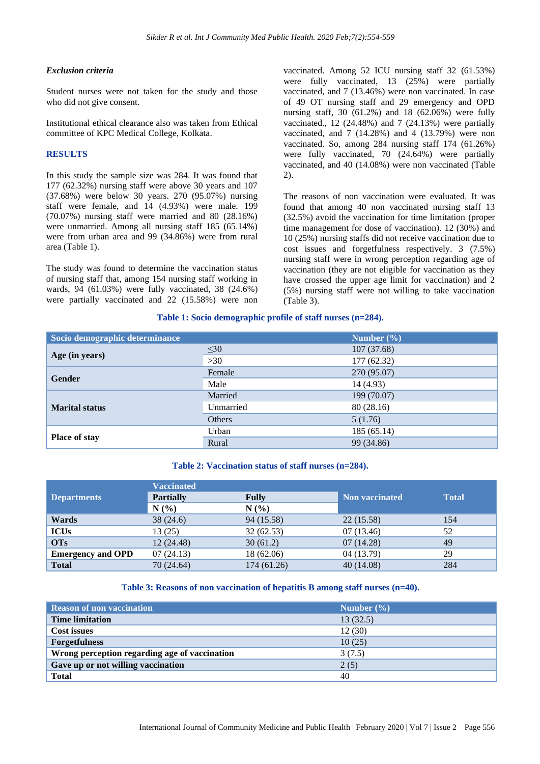## *Exclusion criteria*

Student nurses were not taken for the study and those who did not give consent.

Institutional ethical clearance also was taken from Ethical committee of KPC Medical College, Kolkata.

## **RESULTS**

In this study the sample size was 284. It was found that 177 (62.32%) nursing staff were above 30 years and 107 (37.68%) were below 30 years. 270 (95.07%) nursing staff were female, and 14 (4.93%) were male. 199 (70.07%) nursing staff were married and 80 (28.16%) were unmarried. Among all nursing staff 185 (65.14%) were from urban area and 99 (34.86%) were from rural area (Table 1).

The study was found to determine the vaccination status of nursing staff that, among 154 nursing staff working in wards, 94 (61.03%) were fully vaccinated, 38 (24.6%) were partially vaccinated and 22 (15.58%) were non

vaccinated. Among 52 ICU nursing staff 32 (61.53%) were fully vaccinated, 13 (25%) were partially vaccinated, and 7 (13.46%) were non vaccinated. In case of 49 OT nursing staff and 29 emergency and OPD nursing staff, 30 (61.2%) and 18 (62.06%) were fully vaccinated., 12 (24.48%) and 7 (24.13%) were partially vaccinated, and 7 (14.28%) and 4 (13.79%) were non vaccinated. So, among 284 nursing staff 174 (61.26%) were fully vaccinated, 70 (24.64%) were partially vaccinated, and 40 (14.08%) were non vaccinated (Table 2).

The reasons of non vaccination were evaluated. It was found that among 40 non vaccinated nursing staff 13 (32.5%) avoid the vaccination for time limitation (proper time management for dose of vaccination). 12 (30%) and 10 (25%) nursing staffs did not receive vaccination due to cost issues and forgetfulness respectively. 3 (7.5%) nursing staff were in wrong perception regarding age of vaccination (they are not eligible for vaccination as they have crossed the upper age limit for vaccination) and 2 (5%) nursing staff were not willing to take vaccination (Table 3).

#### **Table 1: Socio demographic profile of staff nurses (n=284).**

| Socio demographic determinance |               | Number $(\% )$ |
|--------------------------------|---------------|----------------|
| Age (in years)                 | $\leq 30$     | 107(37.68)     |
|                                | $>30$         | 177 (62.32)    |
| <b>Gender</b>                  | Female        | 270 (95.07)    |
|                                | Male          | 14 (4.93)      |
| <b>Marital status</b>          | Married       | 199 (70.07)    |
|                                | Unmarried     | 80(28.16)      |
|                                | <b>Others</b> | 5(1.76)        |
| Place of stay                  | Urban         | 185(65.14)     |
|                                | Rural         | 99 (34.86)     |

#### **Table 2: Vaccination status of staff nurses (n=284).**

|                          | <b>Vaccinated</b> |              |                |              |
|--------------------------|-------------------|--------------|----------------|--------------|
| <b>Departments</b>       | <b>Partially</b>  | <b>Fully</b> | Non vaccinated | <b>Total</b> |
|                          | $N(\%)$           | N(%)         |                |              |
| Wards                    | 38(24.6)          | 94 (15.58)   | 22(15.58)      | 154          |
| <b>ICUs</b>              | 13 (25)           | 32(62.53)    | 07(13.46)      | 52           |
| <b>OTs</b>               | 12 (24.48)        | 30(61.2)     | 07(14.28)      | 49           |
| <b>Emergency and OPD</b> | 07(24.13)         | 18 (62.06)   | 04 (13.79)     | 29           |
| <b>Total</b>             | 70 (24.64)        | 174 (61.26)  | 40(14.08)      | 284          |

#### **Table 3: Reasons of non vaccination of hepatitis B among staff nurses (n=40).**

| <b>Reason of non vaccination</b>              | Number $(\% )$ |
|-----------------------------------------------|----------------|
| <b>Time limitation</b>                        | 13(32.5)       |
| <b>Cost issues</b>                            | 12(30)         |
| <b>Forgetfulness</b>                          | 10(25)         |
| Wrong perception regarding age of vaccination | 3(7.5)         |
| Gave up or not willing vaccination            | 2(5)           |
| <b>Total</b>                                  | 40             |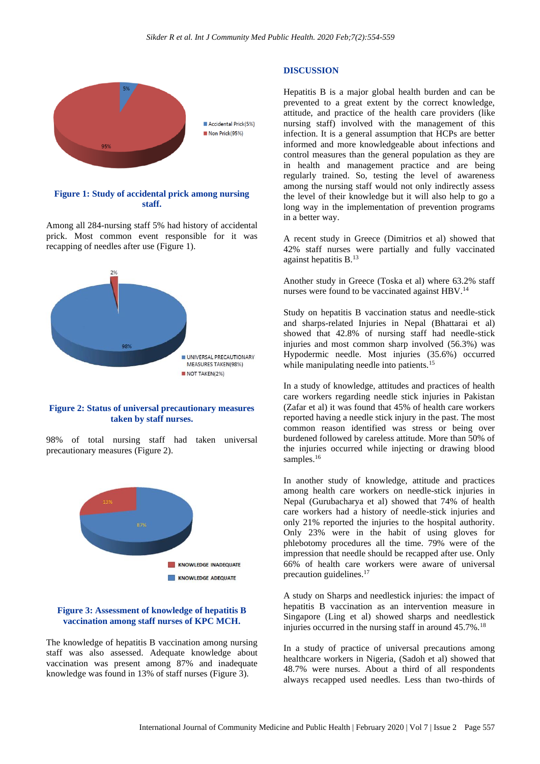

## **Figure 1: Study of accidental prick among nursing staff.**

Among all 284-nursing staff 5% had history of accidental prick. Most common event responsible for it was recapping of needles after use (Figure 1).



#### **Figure 2: Status of universal precautionary measures taken by staff nurses.**

98% of total nursing staff had taken universal precautionary measures (Figure 2).



#### **Figure 3: Assessment of knowledge of hepatitis B vaccination among staff nurses of KPC MCH.**

The knowledge of hepatitis B vaccination among nursing staff was also assessed. Adequate knowledge about vaccination was present among 87% and inadequate knowledge was found in 13% of staff nurses (Figure 3).

#### **DISCUSSION**

Hepatitis B is a major global health burden and can be prevented to a great extent by the correct knowledge, attitude, and practice of the health care providers (like nursing staff) involved with the management of this infection. It is a general assumption that HCPs are better informed and more knowledgeable about infections and control measures than the general population as they are in health and management practice and are being regularly trained. So, testing the level of awareness among the nursing staff would not only indirectly assess the level of their knowledge but it will also help to go a long way in the implementation of prevention programs in a better way.

A recent study in Greece (Dimitrios et al) showed that 42% staff nurses were partially and fully vaccinated against hepatitis B.<sup>13</sup>

Another study in Greece (Toska et al) where 63.2% staff nurses were found to be vaccinated against HBV.<sup>14</sup>

Study on hepatitis B vaccination status and needle-stick and sharps-related Injuries in Nepal (Bhattarai et al) showed that 42.8% of nursing staff had needle-stick injuries and most common sharp involved (56.3%) was Hypodermic needle. Most injuries (35.6%) occurred while manipulating needle into patients.<sup>15</sup>

In a study of knowledge, attitudes and practices of health care workers regarding needle stick injuries in Pakistan (Zafar et al) it was found that 45% of health care workers reported having a needle stick injury in the past. The most common reason identified was stress or being over burdened followed by careless attitude. More than 50% of the injuries occurred while injecting or drawing blood samples.<sup>16</sup>

In another study of knowledge, attitude and practices among health care workers on needle-stick injuries in Nepal (Gurubacharya et al) showed that 74% of health care workers had a history of needle-stick injuries and only 21% reported the injuries to the hospital authority. Only 23% were in the habit of using gloves for phlebotomy procedures all the time. 79% were of the impression that needle should be recapped after use. Only 66% of health care workers were aware of universal precaution guidelines.<sup>17</sup>

A study on Sharps and needlestick injuries: the impact of hepatitis B vaccination as an intervention measure in Singapore (Ling et al) showed sharps and needlestick injuries occurred in the nursing staff in around 45.7%.<sup>18</sup>

In a study of practice of universal precautions among healthcare workers in Nigeria, (Sadoh et al) showed that 48.7% were nurses. About a third of all respondents always recapped used needles. Less than two-thirds of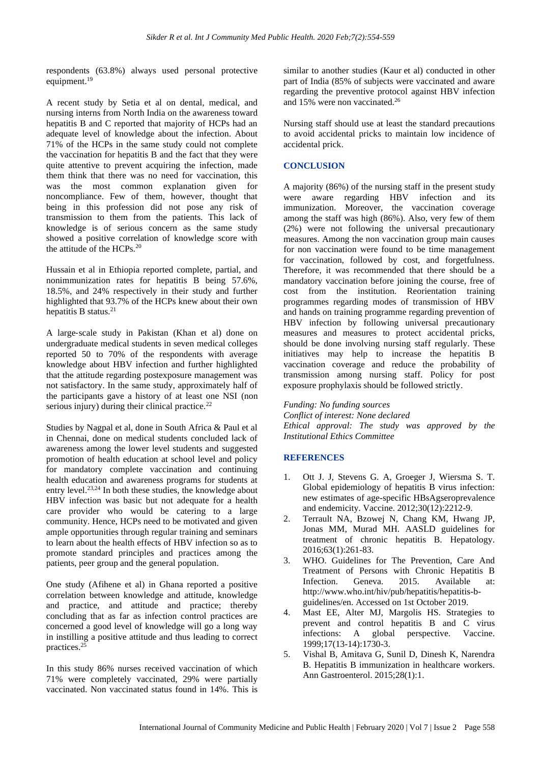respondents (63.8%) always used personal protective equipment.<sup>19</sup>

A recent study by Setia et al on dental, medical, and nursing interns from North India on the awareness toward hepatitis B and C reported that majority of HCPs had an adequate level of knowledge about the infection. About 71% of the HCPs in the same study could not complete the vaccination for hepatitis B and the fact that they were quite attentive to prevent acquiring the infection, made them think that there was no need for vaccination, this was the most common explanation given for noncompliance. Few of them, however, thought that being in this profession did not pose any risk of transmission to them from the patients. This lack of knowledge is of serious concern as the same study showed a positive correlation of knowledge score with the attitude of the HCPs.<sup>20</sup>

Hussain et al in Ethiopia reported complete, partial, and nonimmunization rates for hepatitis B being 57.6%, 18.5%, and 24% respectively in their study and further highlighted that 93.7% of the HCPs knew about their own hepatitis B status.<sup>21</sup>

A large‑scale study in Pakistan (Khan et al) done on undergraduate medical students in seven medical colleges reported 50 to 70% of the respondents with average knowledge about HBV infection and further highlighted that the attitude regarding postexposure management was not satisfactory. In the same study, approximately half of the participants gave a history of at least one NSI (non serious injury) during their clinical practice. $22$ 

Studies by Nagpal et al, done in South Africa & Paul et al in Chennai, done on medical students concluded lack of awareness among the lower level students and suggested promotion of health education at school level and policy for mandatory complete vaccination and continuing health education and awareness programs for students at entry level.<sup>23,24</sup> In both these studies, the knowledge about HBV infection was basic but not adequate for a health care provider who would be catering to a large community. Hence, HCPs need to be motivated and given ample opportunities through regular training and seminars to learn about the health effects of HBV infection so as to promote standard principles and practices among the patients, peer group and the general population.

One study (Afihene et al) in Ghana reported a positive correlation between knowledge and attitude, knowledge and practice, and attitude and practice; thereby concluding that as far as infection control practices are concerned a good level of knowledge will go a long way in instilling a positive attitude and thus leading to correct practices.<sup>2</sup>

In this study 86% nurses received vaccination of which 71% were completely vaccinated, 29% were partially vaccinated. Non vaccinated status found in 14%. This is

similar to another studies (Kaur et al) conducted in other part of India (85% of subjects were vaccinated and aware regarding the preventive protocol against HBV infection and 15% were non vaccinated.<sup>26</sup>

Nursing staff should use at least the standard precautions to avoid accidental pricks to maintain low incidence of accidental prick.

## **CONCLUSION**

A majority (86%) of the nursing staff in the present study were aware regarding HBV infection and its immunization. Moreover, the vaccination coverage among the staff was high (86%). Also, very few of them (2%) were not following the universal precautionary measures. Among the non vaccination group main causes for non vaccination were found to be time management for vaccination, followed by cost, and forgetfulness. Therefore, it was recommended that there should be a mandatory vaccination before joining the course, free of cost from the institution. Reorientation training programmes regarding modes of transmission of HBV and hands on training programme regarding prevention of HBV infection by following universal precautionary measures and measures to protect accidental pricks, should be done involving nursing staff regularly. These initiatives may help to increase the hepatitis B vaccination coverage and reduce the probability of transmission among nursing staff. Policy for post exposure prophylaxis should be followed strictly.

*Funding: No funding sources*

*Conflict of interest: None declared Ethical approval: The study was approved by the Institutional Ethics Committee*

## **REFERENCES**

- 1. Ott J. J, Stevens G. A, Groeger J, Wiersma S. T. Global epidemiology of hepatitis B virus infection: new estimates of age-specific HBsAgseroprevalence and endemicity. Vaccine. 2012;30(12):2212-9.
- 2. Terrault NA, Bzowej N, Chang KM, Hwang JP, Jonas MM, Murad MH. AASLD guidelines for treatment of chronic hepatitis B. Hepatology. 2016;63(1):261-83.
- 3. WHO. Guidelines for The Prevention, Care And Treatment of Persons with Chronic Hepatitis B Infection. Geneva. 2015. Available at: http://www.who.int/hiv/pub/hepatitis/hepatitis-bguidelines/en. Accessed on 1st October 2019.
- 4. Mast EE, Alter MJ, Margolis HS. Strategies to prevent and control hepatitis B and C virus infections: A global perspective. Vaccine. 1999;17(13-14):1730-3.
- 5. Vishal B, Amitava G, Sunil D, Dinesh K, Narendra B. Hepatitis B immunization in healthcare workers. Ann Gastroenterol. 2015;28(1):1.